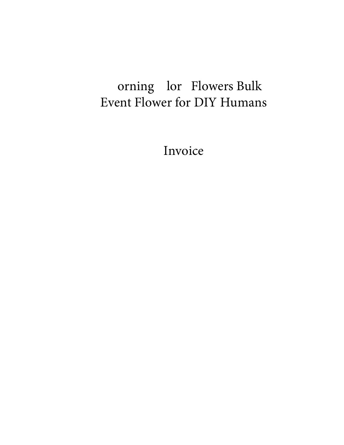## orning lor Flowers Bulk Event Flower for DIY Humans

Invoice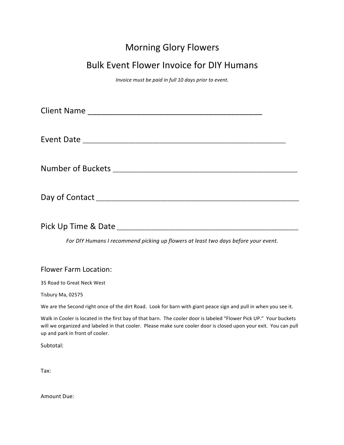### Morning Glory Flowers

#### **Bulk Event Flower Invoice for DIY Humans**

*Invoice must be paid in full 10 days prior to event.* 

| Pick Up Time & Date |  |
|---------------------|--|

For DIY Humans I recommend picking up flowers at least two days before your event.

#### Flower Farm Location:

35 Road to Great Neck West 

Tisbury Ma, 02575

We are the Second right once of the dirt Road. Look for barn with giant peace sign and pull in when you see it.

Walk in Cooler is located in the first bay of that barn. The cooler door is labeled "Flower Pick UP." Your buckets will we organized and labeled in that cooler. Please make sure cooler door is closed upon your exit. You can pull up and park in front of cooler.

Subtotal: 

Tax: 

Amount Due: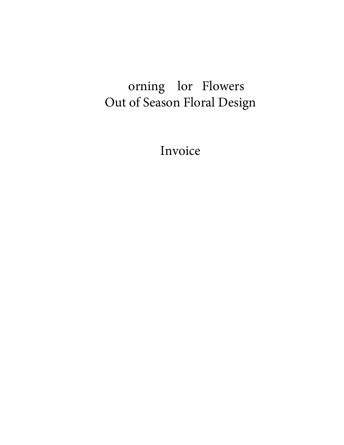# orning lor Flowers Out of Season Floral Design

Invoice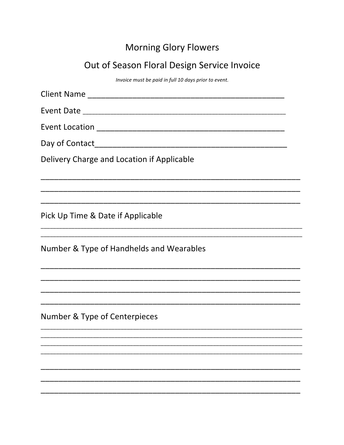### **Morning Glory Flowers**

## Out of Season Floral Design Service Invoice

Invoice must be paid in full 10 days prior to event.

| Delivery Charge and Location if Applicable |
|--------------------------------------------|
|                                            |
| Pick Up Time & Date if Applicable          |
| Number & Type of Handhelds and Wearables   |
|                                            |
|                                            |
| Number & Type of Centerpieces              |
|                                            |
|                                            |
|                                            |
|                                            |
|                                            |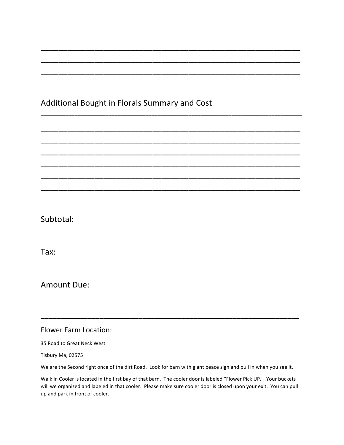#### Additional Bought in Florals Summary and Cost

\_\_\_\_\_\_\_\_\_\_\_\_\_\_\_\_\_\_\_\_\_\_\_\_\_\_\_\_\_\_\_\_\_\_\_\_\_\_\_\_\_\_\_\_\_\_\_\_\_\_\_\_\_\_\_\_\_\_

\_\_\_\_\_\_\_\_\_\_\_\_\_\_\_\_\_\_\_\_\_\_\_\_\_\_\_\_\_\_\_\_\_\_\_\_\_\_\_\_\_\_\_\_\_\_\_\_\_\_\_\_\_\_\_\_\_\_

\_\_\_\_\_\_\_\_\_\_\_\_\_\_\_\_\_\_\_\_\_\_\_\_\_\_\_\_\_\_\_\_\_\_\_\_\_\_\_\_\_\_\_\_\_\_\_\_\_\_\_\_\_\_\_\_\_\_

\_\_\_\_\_\_\_\_\_\_\_\_\_\_\_\_\_\_\_\_\_\_\_\_\_\_\_\_\_\_\_\_\_\_\_\_\_\_\_\_\_\_\_\_\_\_\_\_\_\_\_\_\_\_\_\_\_\_\_\_\_\_\_\_\_\_\_\_\_\_\_\_\_\_\_\_\_\_\_\_\_\_\_\_\_

\_\_\_\_\_\_\_\_\_\_\_\_\_\_\_\_\_\_\_\_\_\_\_\_\_\_\_\_\_\_\_\_\_\_\_\_\_\_\_\_\_\_\_\_\_\_\_\_\_\_\_\_\_\_\_\_\_\_

\_\_\_\_\_\_\_\_\_\_\_\_\_\_\_\_\_\_\_\_\_\_\_\_\_\_\_\_\_\_\_\_\_\_\_\_\_\_\_\_\_\_\_\_\_\_\_\_\_\_\_\_\_\_\_\_\_\_

\_\_\_\_\_\_\_\_\_\_\_\_\_\_\_\_\_\_\_\_\_\_\_\_\_\_\_\_\_\_\_\_\_\_\_\_\_\_\_\_\_\_\_\_\_\_\_\_\_\_\_\_\_\_\_\_\_\_

\_\_\_\_\_\_\_\_\_\_\_\_\_\_\_\_\_\_\_\_\_\_\_\_\_\_\_\_\_\_\_\_\_\_\_\_\_\_\_\_\_\_\_\_\_\_\_\_\_\_\_\_\_\_\_\_\_\_

\_\_\_\_\_\_\_\_\_\_\_\_\_\_\_\_\_\_\_\_\_\_\_\_\_\_\_\_\_\_\_\_\_\_\_\_\_\_\_\_\_\_\_\_\_\_\_\_\_\_\_\_\_\_\_\_\_\_

\_\_\_\_\_\_\_\_\_\_\_\_\_\_\_\_\_\_\_\_\_\_\_\_\_\_\_\_\_\_\_\_\_\_\_\_\_\_\_\_\_\_\_\_\_\_\_\_\_\_\_\_\_\_\_\_\_\_

Subtotal: 

Tax: 

Amount Due:

Flower Farm Location:

35 Road to Great Neck West

Tisbury Ma, 02575

We are the Second right once of the dirt Road. Look for barn with giant peace sign and pull in when you see it.

\_\_\_\_\_\_\_\_\_\_\_\_\_\_\_\_\_\_\_\_\_\_\_\_\_\_\_\_\_\_\_\_\_\_\_\_\_\_\_\_\_\_\_\_\_\_\_\_\_\_\_\_\_\_\_\_\_\_\_\_\_\_\_\_\_\_

Walk in Cooler is located in the first bay of that barn. The cooler door is labeled "Flower Pick UP." Your buckets will we organized and labeled in that cooler. Please make sure cooler door is closed upon your exit. You can pull up and park in front of cooler.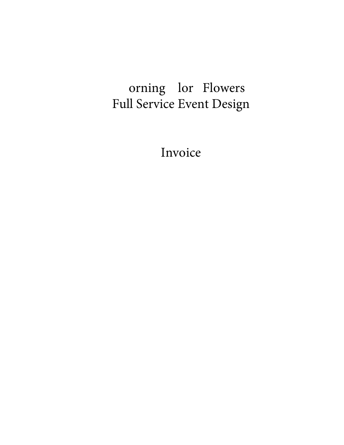# orning lor Flowers Full Service Event Design

Invoice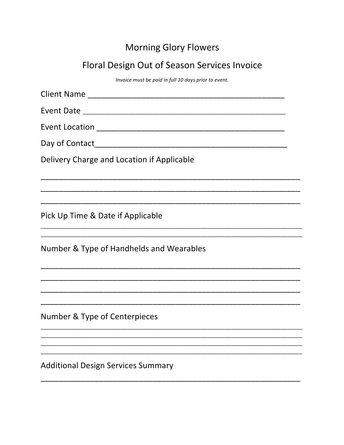### **Morning Glory Flowers**

## Floral Design Out of Season Services Invoice

Invoice must be paid in full 10 days prior to event.

| Delivery Charge and Location if Applicable |
|--------------------------------------------|
|                                            |
| Pick Up Time & Date if Applicable          |
| Number & Type of Handhelds and Wearables   |
|                                            |
|                                            |
| Number & Type of Centerpieces              |
|                                            |
|                                            |
| <b>Additional Design Services Summary</b>  |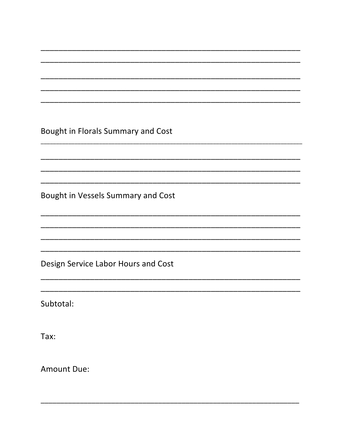Bought in Florals Summary and Cost

Bought in Vessels Summary and Cost

Design Service Labor Hours and Cost

Subtotal:

Tax:

**Amount Due:**